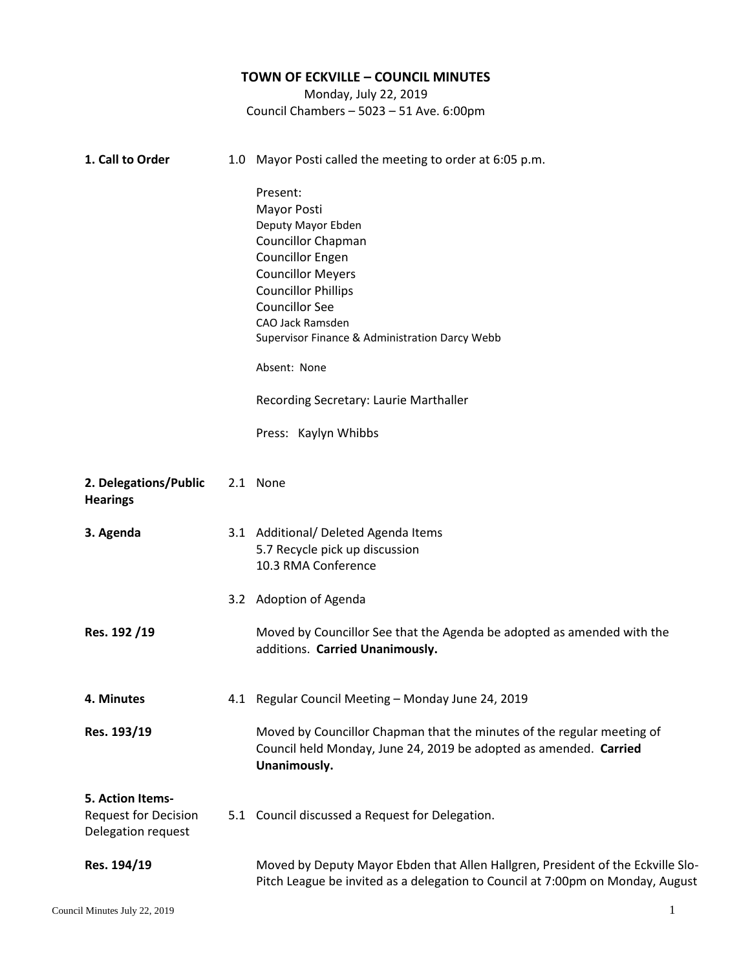## **TOWN OF ECKVILLE – COUNCIL MINUTES** Monday, July 22, 2019 Council Chambers – 5023 – 51 Ave. 6:00pm **1. Call to Order** 1.0 Mayor Posti called the meeting to order at 6:05 p.m. Present: Mayor Posti Deputy Mayor Ebden Councillor Chapman Councillor Engen Councillor Meyers Councillor Phillips Councillor See CAO Jack Ramsden Supervisor Finance & Administration Darcy Webb Absent: None Recording Secretary: Laurie Marthaller Press: Kaylyn Whibbs 2. **2. Delegations/Public Hearings** 2.1 None **3. 3. Agenda Res. 192 /19** 3.1 Additional/ Deleted Agenda Items 3.2 Adoption of Agenda 5.7 Recycle pick up discussion 10.3 RMA Conference Moved by Councillor See that the Agenda be adopted as amended with the additions. **Carried Unanimously. 4. 4. Minutes Res. 193/19** 4.1 Regular Council Meeting – Monday June 24, 2019 Moved by Councillor Chapman that the minutes of the regular meeting of Council held Monday, June 24, 2019 be adopted as amended. **Carried Unanimously. 5. Action Items-**Request for Decision Delegation request **Res. 194/19** 5.1 Council discussed a Request for Delegation. Moved by Deputy Mayor Ebden that Allen Hallgren, President of the Eckville Slo-Pitch League be invited as a delegation to Council at 7:00pm on Monday, August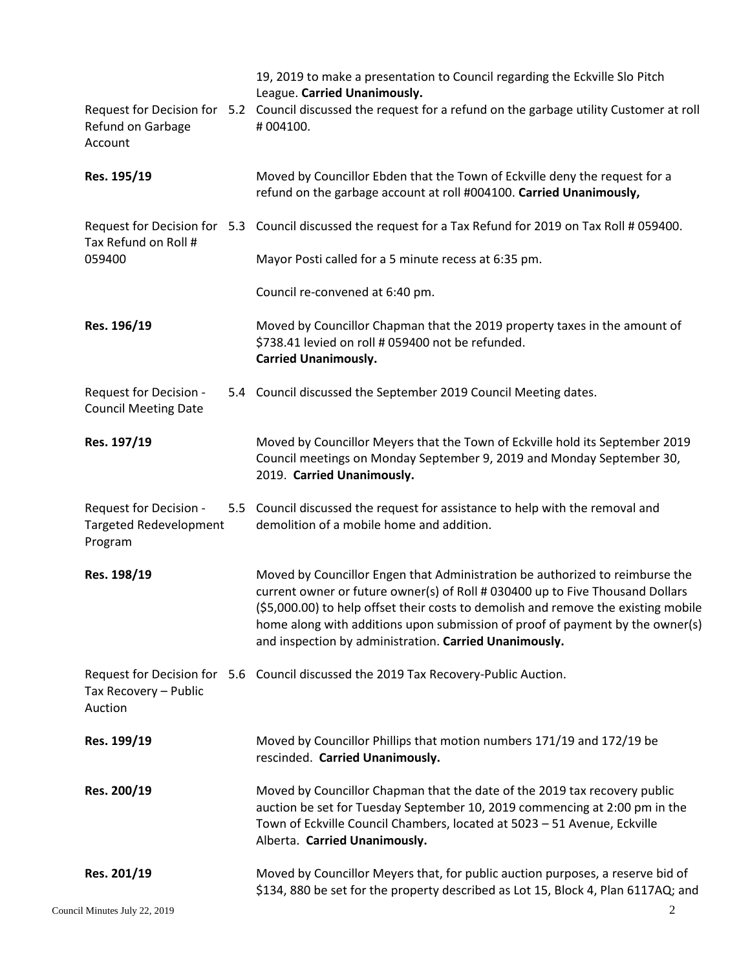|                                                                    | 19, 2019 to make a presentation to Council regarding the Eckville Slo Pitch<br>League. Carried Unanimously.<br>Request for Decision for 5.2 Council discussed the request for a refund on the garbage utility Customer at roll                                                                                                                                                                 |
|--------------------------------------------------------------------|------------------------------------------------------------------------------------------------------------------------------------------------------------------------------------------------------------------------------------------------------------------------------------------------------------------------------------------------------------------------------------------------|
| Refund on Garbage<br>Account                                       | #004100.                                                                                                                                                                                                                                                                                                                                                                                       |
| Res. 195/19                                                        | Moved by Councillor Ebden that the Town of Eckville deny the request for a<br>refund on the garbage account at roll #004100. Carried Unanimously,                                                                                                                                                                                                                                              |
| Tax Refund on Roll #<br>059400                                     | Request for Decision for 5.3 Council discussed the request for a Tax Refund for 2019 on Tax Roll # 059400.                                                                                                                                                                                                                                                                                     |
|                                                                    | Mayor Posti called for a 5 minute recess at 6:35 pm.                                                                                                                                                                                                                                                                                                                                           |
|                                                                    | Council re-convened at 6:40 pm.                                                                                                                                                                                                                                                                                                                                                                |
| Res. 196/19                                                        | Moved by Councillor Chapman that the 2019 property taxes in the amount of<br>\$738.41 levied on roll # 059400 not be refunded.<br><b>Carried Unanimously.</b>                                                                                                                                                                                                                                  |
| Request for Decision -<br><b>Council Meeting Date</b>              | 5.4 Council discussed the September 2019 Council Meeting dates.                                                                                                                                                                                                                                                                                                                                |
| Res. 197/19                                                        | Moved by Councillor Meyers that the Town of Eckville hold its September 2019<br>Council meetings on Monday September 9, 2019 and Monday September 30,<br>2019. Carried Unanimously.                                                                                                                                                                                                            |
| Request for Decision -<br><b>Targeted Redevelopment</b><br>Program | 5.5 Council discussed the request for assistance to help with the removal and<br>demolition of a mobile home and addition.                                                                                                                                                                                                                                                                     |
| Res. 198/19                                                        | Moved by Councillor Engen that Administration be authorized to reimburse the<br>current owner or future owner(s) of Roll # 030400 up to Five Thousand Dollars<br>(\$5,000.00) to help offset their costs to demolish and remove the existing mobile<br>home along with additions upon submission of proof of payment by the owner(s)<br>and inspection by administration. Carried Unanimously. |
| Tax Recovery - Public<br>Auction                                   | Request for Decision for 5.6 Council discussed the 2019 Tax Recovery-Public Auction.                                                                                                                                                                                                                                                                                                           |
| Res. 199/19                                                        | Moved by Councillor Phillips that motion numbers 171/19 and 172/19 be<br>rescinded. Carried Unanimously.                                                                                                                                                                                                                                                                                       |
| Res. 200/19                                                        | Moved by Councillor Chapman that the date of the 2019 tax recovery public<br>auction be set for Tuesday September 10, 2019 commencing at 2:00 pm in the<br>Town of Eckville Council Chambers, located at 5023 - 51 Avenue, Eckville<br>Alberta. Carried Unanimously.                                                                                                                           |
| Res. 201/19                                                        | Moved by Councillor Meyers that, for public auction purposes, a reserve bid of<br>\$134, 880 be set for the property described as Lot 15, Block 4, Plan 6117AQ; and                                                                                                                                                                                                                            |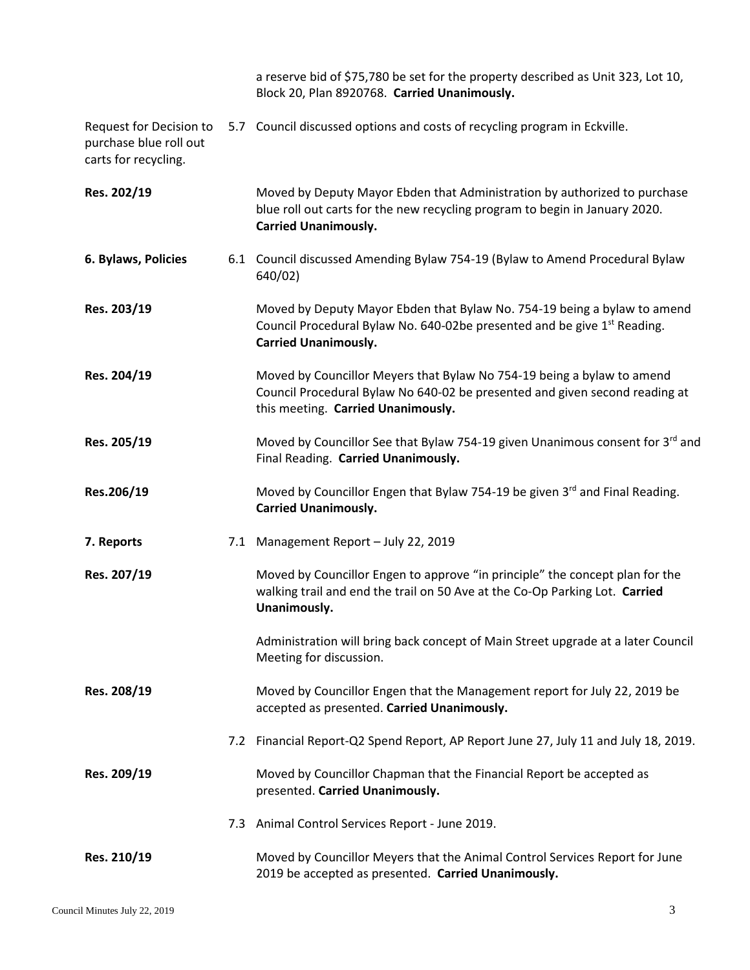a reserve bid of \$75,780 be set for the property described as Unit 323, Lot 10, Block 20, Plan 8920768. **Carried Unanimously.**

Request for Decision to 5.7 Council discussed options and costs of recycling program in Eckville. purchase blue roll out carts for recycling.

| Res. 202/19         |     | Moved by Deputy Mayor Ebden that Administration by authorized to purchase<br>blue roll out carts for the new recycling program to begin in January 2020.<br><b>Carried Unanimously.</b>         |
|---------------------|-----|-------------------------------------------------------------------------------------------------------------------------------------------------------------------------------------------------|
| 6. Bylaws, Policies |     | 6.1 Council discussed Amending Bylaw 754-19 (Bylaw to Amend Procedural Bylaw<br>640/02)                                                                                                         |
| Res. 203/19         |     | Moved by Deputy Mayor Ebden that Bylaw No. 754-19 being a bylaw to amend<br>Council Procedural Bylaw No. 640-02be presented and be give 1 <sup>st</sup> Reading.<br><b>Carried Unanimously.</b> |
| Res. 204/19         |     | Moved by Councillor Meyers that Bylaw No 754-19 being a bylaw to amend<br>Council Procedural Bylaw No 640-02 be presented and given second reading at<br>this meeting. Carried Unanimously.     |
| Res. 205/19         |     | Moved by Councillor See that Bylaw 754-19 given Unanimous consent for 3rd and<br>Final Reading. Carried Unanimously.                                                                            |
| Res.206/19          |     | Moved by Councillor Engen that Bylaw 754-19 be given 3rd and Final Reading.<br><b>Carried Unanimously.</b>                                                                                      |
| 7. Reports          |     | 7.1 Management Report - July 22, 2019                                                                                                                                                           |
| Res. 207/19         |     | Moved by Councillor Engen to approve "in principle" the concept plan for the<br>walking trail and end the trail on 50 Ave at the Co-Op Parking Lot. Carried<br>Unanimously.                     |
|                     |     | Administration will bring back concept of Main Street upgrade at a later Council<br>Meeting for discussion.                                                                                     |
| Res. 208/19         |     | Moved by Councillor Engen that the Management report for July 22, 2019 be<br>accepted as presented. Carried Unanimously.                                                                        |
|                     |     | 7.2 Financial Report-Q2 Spend Report, AP Report June 27, July 11 and July 18, 2019.                                                                                                             |
| Res. 209/19         |     | Moved by Councillor Chapman that the Financial Report be accepted as<br>presented. Carried Unanimously.                                                                                         |
|                     | 7.3 | Animal Control Services Report - June 2019.                                                                                                                                                     |
| Res. 210/19         |     | Moved by Councillor Meyers that the Animal Control Services Report for June<br>2019 be accepted as presented. Carried Unanimously.                                                              |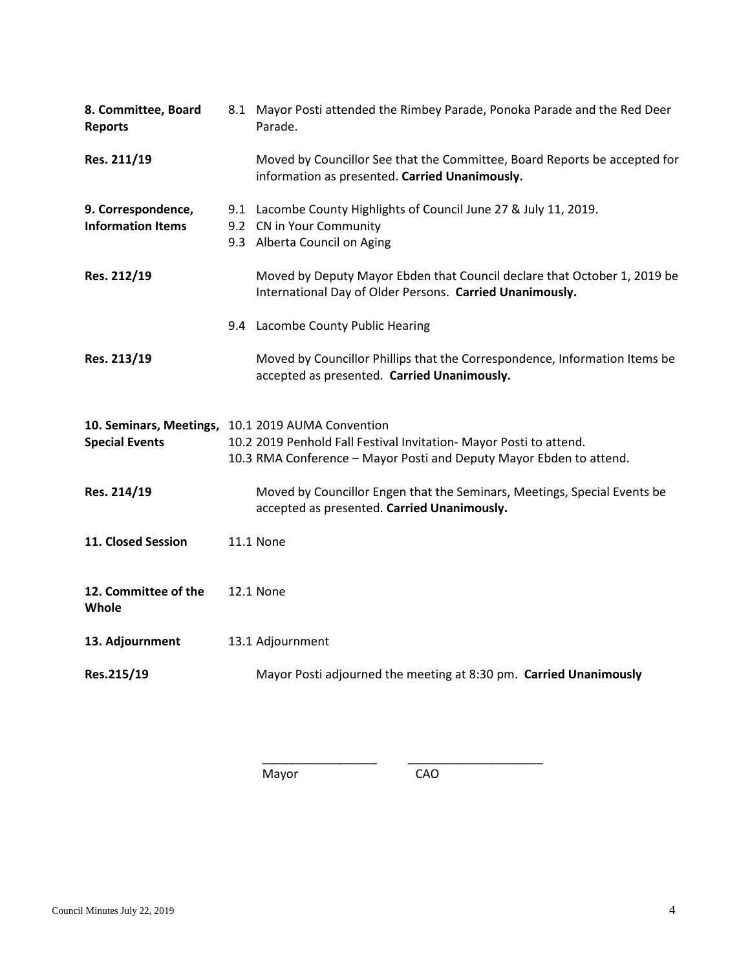| 8. Committee, Board<br><b>Reports</b>                                      | 8.1 Mayor Posti attended the Rimbey Parade, Ponoka Parade and the Red Deer<br>Parade.                                                     |
|----------------------------------------------------------------------------|-------------------------------------------------------------------------------------------------------------------------------------------|
| Res. 211/19                                                                | Moved by Councillor See that the Committee, Board Reports be accepted for<br>information as presented. Carried Unanimously.               |
| 9. Correspondence,<br><b>Information Items</b>                             | 9.1 Lacombe County Highlights of Council June 27 & July 11, 2019.<br>9.2 CN in Your Community<br>9.3 Alberta Council on Aging             |
| Res. 212/19                                                                | Moved by Deputy Mayor Ebden that Council declare that October 1, 2019 be<br>International Day of Older Persons. Carried Unanimously.      |
|                                                                            | 9.4 Lacombe County Public Hearing                                                                                                         |
| Res. 213/19                                                                | Moved by Councillor Phillips that the Correspondence, Information Items be<br>accepted as presented. Carried Unanimously.                 |
| 10. Seminars, Meetings, 10.1 2019 AUMA Convention<br><b>Special Events</b> | 10.2 2019 Penhold Fall Festival Invitation- Mayor Posti to attend.<br>10.3 RMA Conference - Mayor Posti and Deputy Mayor Ebden to attend. |
| Res. 214/19                                                                | Moved by Councillor Engen that the Seminars, Meetings, Special Events be<br>accepted as presented. Carried Unanimously.                   |
| 11. Closed Session                                                         | <b>11.1 None</b>                                                                                                                          |
| 12. Committee of the<br>Whole                                              | <b>12.1 None</b>                                                                                                                          |
| 13. Adjournment                                                            | 13.1 Adjournment                                                                                                                          |
| Res.215/19                                                                 | Mayor Posti adjourned the meeting at 8:30 pm. Carried Unanimously                                                                         |

Mayor CAO

\_\_\_\_\_\_\_\_\_\_\_\_\_\_\_\_\_ \_\_\_\_\_\_\_\_\_\_\_\_\_\_\_\_\_\_\_\_